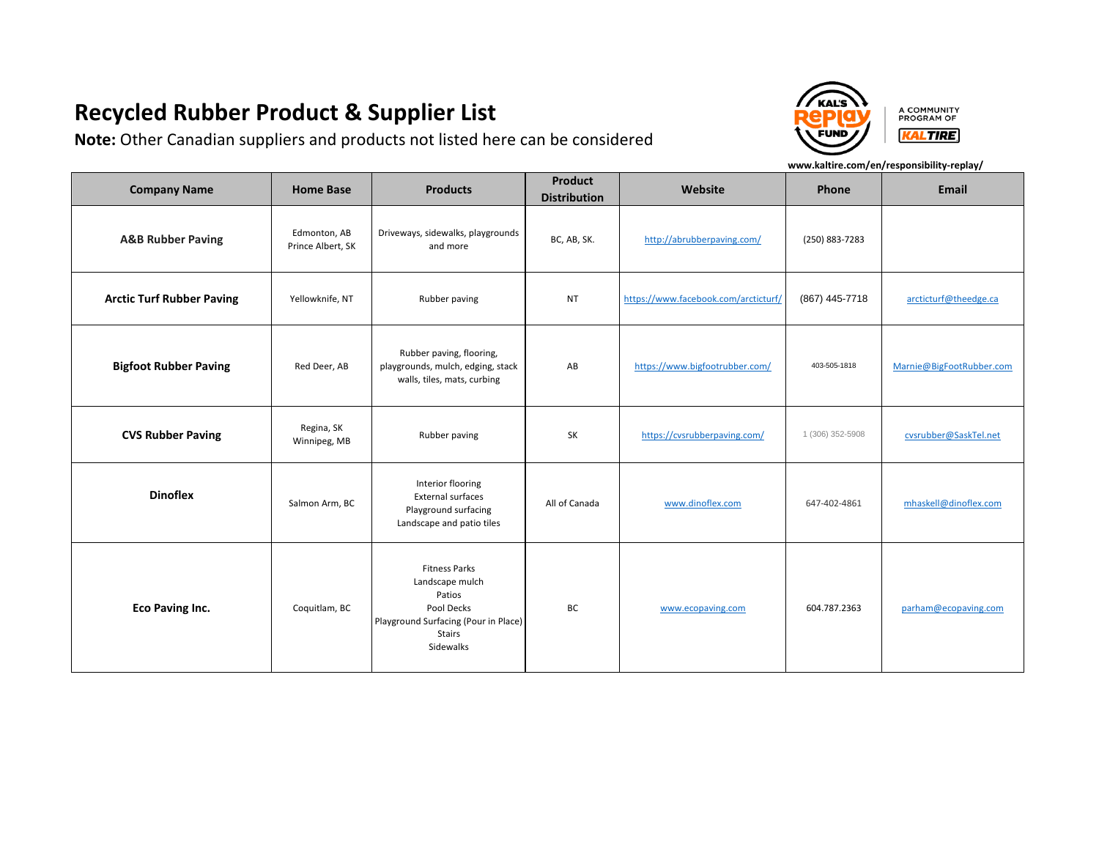**Note:** Other Canadian suppliers and products not listed here can be considered



A COMMUNITY PROGRAM OF **KALTIRE** 

| <b>Company Name</b>              | <b>Home Base</b>                  | <b>Products</b>                                                                                                                       | <b>Product</b><br><b>Distribution</b> | Website                              | Phone            | <b>Email</b>             |
|----------------------------------|-----------------------------------|---------------------------------------------------------------------------------------------------------------------------------------|---------------------------------------|--------------------------------------|------------------|--------------------------|
| <b>A&amp;B Rubber Paving</b>     | Edmonton, AB<br>Prince Albert, SK | Driveways, sidewalks, playgrounds<br>and more                                                                                         | BC, AB, SK.                           | http://abrubberpaving.com/           | (250) 883-7283   |                          |
| <b>Arctic Turf Rubber Paving</b> | Yellowknife, NT                   | Rubber paving                                                                                                                         | <b>NT</b>                             | https://www.facebook.com/arcticturf/ | (867) 445-7718   | arcticturf@theedge.ca    |
| <b>Bigfoot Rubber Paving</b>     | Red Deer, AB                      | Rubber paving, flooring,<br>playgrounds, mulch, edging, stack<br>walls, tiles, mats, curbing                                          | AB                                    | https://www.bigfootrubber.com/       | 403-505-1818     | Marnie@BigFootRubber.com |
| <b>CVS Rubber Paving</b>         | Regina, SK<br>Winnipeg, MB        | Rubber paving                                                                                                                         | SK                                    | https://cvsrubberpaving.com/         | 1 (306) 352-5908 | cvsrubber@SaskTel.net    |
| <b>Dinoflex</b>                  | Salmon Arm, BC                    | Interior flooring<br><b>External surfaces</b><br>Playground surfacing<br>Landscape and patio tiles                                    | All of Canada                         | www.dinoflex.com                     | 647-402-4861     | mhaskell@dinoflex.com    |
| Eco Paving Inc.                  | Coquitlam, BC                     | <b>Fitness Parks</b><br>Landscape mulch<br>Patios<br>Pool Decks<br>Playground Surfacing (Pour in Place)<br><b>Stairs</b><br>Sidewalks | BC                                    | www.ecopaving.com                    | 604.787.2363     | parham@ecopaving.com     |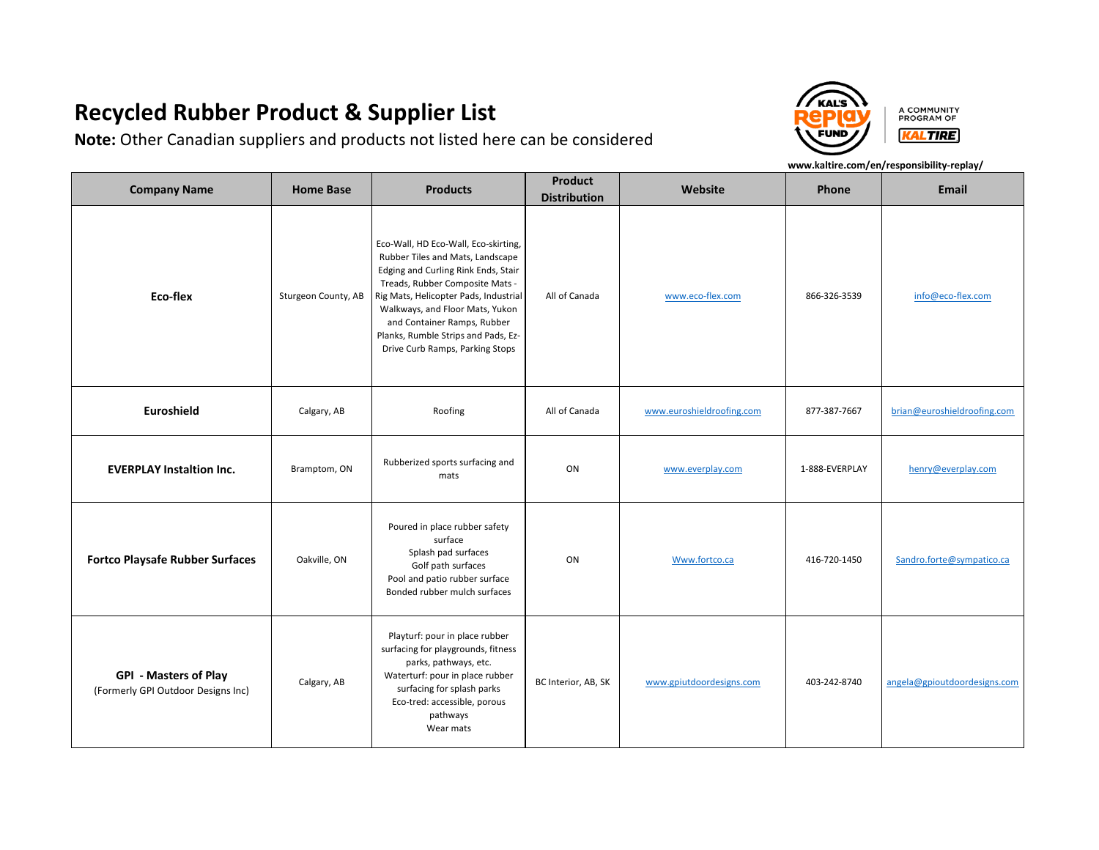**Note:** Other Canadian suppliers and products not listed here can be considered



A COMMUNITY PROGRAM OF **KALTIRE** 

| <b>Company Name</b>                                                | <b>Home Base</b>    | <b>Products</b>                                                                                                                                                                                                                                                                                                                         | <b>Product</b><br><b>Distribution</b> | Website                   | Phone          | <b>Email</b>                 |
|--------------------------------------------------------------------|---------------------|-----------------------------------------------------------------------------------------------------------------------------------------------------------------------------------------------------------------------------------------------------------------------------------------------------------------------------------------|---------------------------------------|---------------------------|----------------|------------------------------|
| Eco-flex                                                           | Sturgeon County, AB | Eco-Wall, HD Eco-Wall, Eco-skirting,<br>Rubber Tiles and Mats, Landscape<br>Edging and Curling Rink Ends, Stair<br>Treads, Rubber Composite Mats -<br>Rig Mats, Helicopter Pads, Industrial<br>Walkways, and Floor Mats, Yukon<br>and Container Ramps, Rubber<br>Planks, Rumble Strips and Pads, Ez-<br>Drive Curb Ramps, Parking Stops | All of Canada                         | www.eco-flex.com          | 866-326-3539   | info@eco-flex.com            |
| Euroshield                                                         | Calgary, AB         | Roofing                                                                                                                                                                                                                                                                                                                                 | All of Canada                         | www.euroshieldroofing.com | 877-387-7667   | brian@euroshieldroofing.com  |
| <b>EVERPLAY Instaltion Inc.</b>                                    | Bramptom, ON        | Rubberized sports surfacing and<br>mats                                                                                                                                                                                                                                                                                                 | ON                                    | www.everplay.com          | 1-888-EVERPLAY | henry@everplay.com           |
| <b>Fortco Playsafe Rubber Surfaces</b>                             | Oakville, ON        | Poured in place rubber safety<br>surface<br>Splash pad surfaces<br>Golf path surfaces<br>Pool and patio rubber surface<br>Bonded rubber mulch surfaces                                                                                                                                                                                  | ON                                    | Www.fortco.ca             | 416-720-1450   | Sandro.forte@sympatico.ca    |
| <b>GPI - Masters of Play</b><br>(Formerly GPI Outdoor Designs Inc) | Calgary, AB         | Playturf: pour in place rubber<br>surfacing for playgrounds, fitness<br>parks, pathways, etc.<br>Waterturf: pour in place rubber<br>surfacing for splash parks<br>Eco-tred: accessible, porous<br>pathways<br>Wear mats                                                                                                                 | BC Interior, AB, SK                   | www.gpiutdoordesigns.com  | 403-242-8740   | angela@gpioutdoordesigns.com |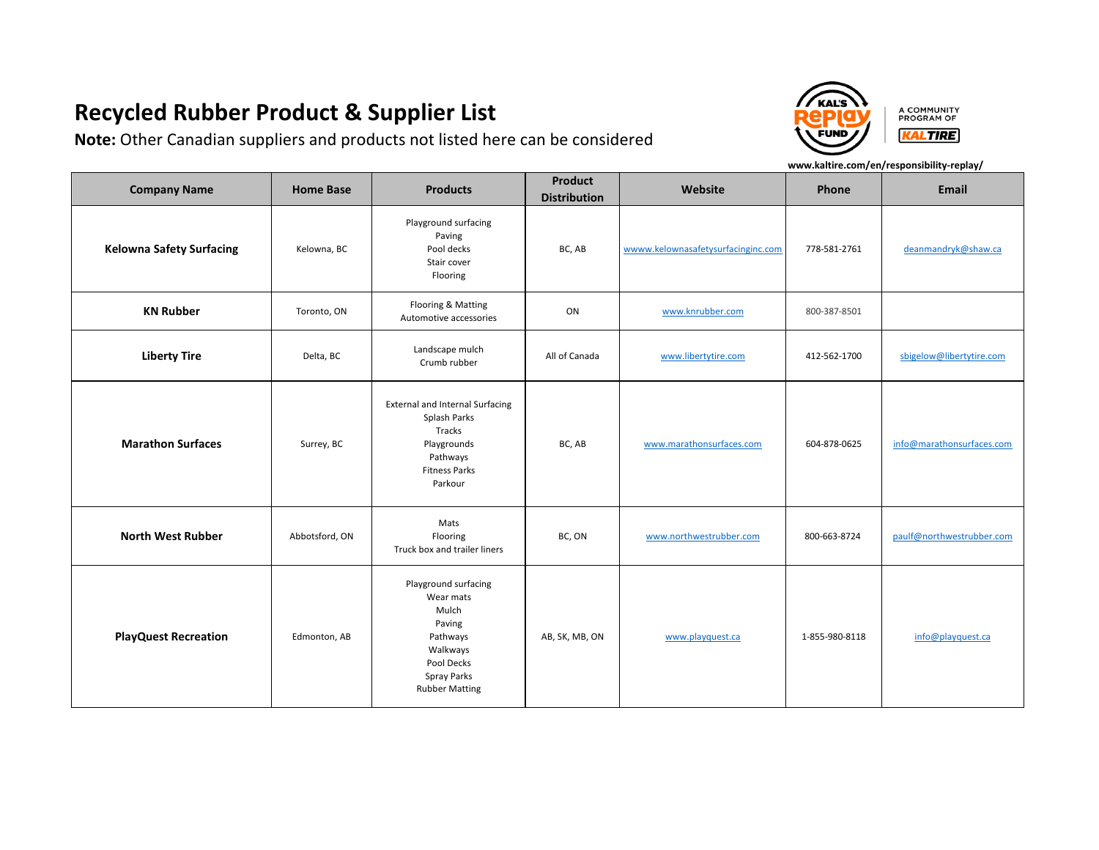**Note:** Other Canadian suppliers and products not listed here can be considered



A COMMUNITY PROGRAM OF **KALTIRE** 

| <b>Company Name</b>             | <b>Home Base</b> | <b>Products</b>                                                                                                                           | <b>Product</b><br><b>Distribution</b> | Website                            | Phone          | <b>Email</b>              |
|---------------------------------|------------------|-------------------------------------------------------------------------------------------------------------------------------------------|---------------------------------------|------------------------------------|----------------|---------------------------|
| <b>Kelowna Safety Surfacing</b> | Kelowna, BC      | Playground surfacing<br>Paving<br>Pool decks<br>Stair cover<br>Flooring                                                                   | BC, AB                                | wwww.kelownasafetysurfacinginc.com | 778-581-2761   | deanmandryk@shaw.ca       |
| <b>KN Rubber</b>                | Toronto, ON      | Flooring & Matting<br>Automotive accessories                                                                                              | ON                                    | www.knrubber.com                   | 800-387-8501   |                           |
| <b>Liberty Tire</b>             | Delta, BC        | Landscape mulch<br>Crumb rubber                                                                                                           | All of Canada                         | www.libertytire.com                | 412-562-1700   | sbigelow@libertytire.com  |
| <b>Marathon Surfaces</b>        | Surrey, BC       | <b>External and Internal Surfacing</b><br>Splash Parks<br>Tracks<br>Playgrounds<br>Pathways<br><b>Fitness Parks</b><br>Parkour            | BC, AB                                | www.marathonsurfaces.com           | 604-878-0625   | info@marathonsurfaces.com |
| <b>North West Rubber</b>        | Abbotsford, ON   | Mats<br>Flooring<br>Truck box and trailer liners                                                                                          | BC, ON                                | www.northwestrubber.com            | 800-663-8724   | paulf@northwestrubber.com |
| <b>PlayQuest Recreation</b>     | Edmonton, AB     | Playground surfacing<br>Wear mats<br>Mulch<br>Paving<br>Pathways<br>Walkways<br>Pool Decks<br><b>Spray Parks</b><br><b>Rubber Matting</b> | AB, SK, MB, ON                        | www.playquest.ca                   | 1-855-980-8118 | info@playquest.ca         |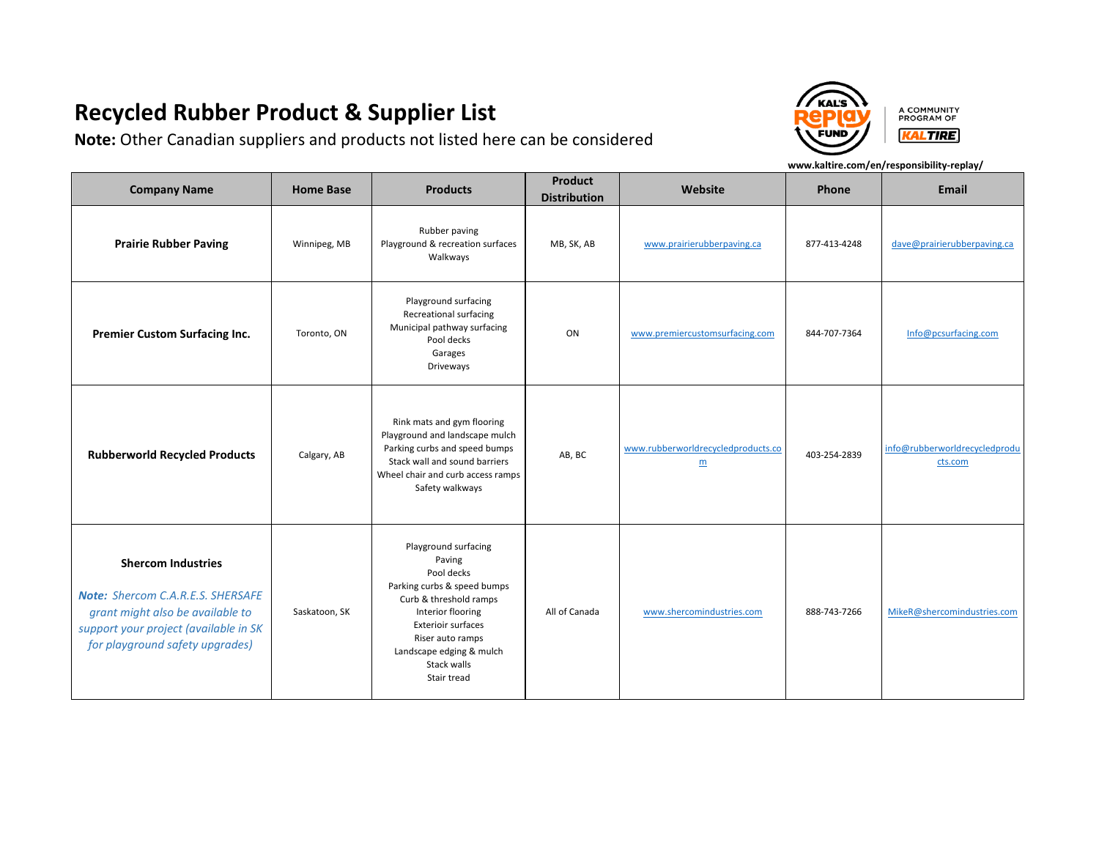**Note:** Other Canadian suppliers and products not listed here can be considered

**FUND** 

A COMMUNITY PROGRAM OF **KALTIRE** 

| <b>Company Name</b>                                                                                                                                                            | <b>Home Base</b> | <b>Products</b>                                                                                                                                                                                                                | Product<br><b>Distribution</b> | Website                                 | Phone        | <b>Email</b>                             |
|--------------------------------------------------------------------------------------------------------------------------------------------------------------------------------|------------------|--------------------------------------------------------------------------------------------------------------------------------------------------------------------------------------------------------------------------------|--------------------------------|-----------------------------------------|--------------|------------------------------------------|
| <b>Prairie Rubber Paving</b>                                                                                                                                                   | Winnipeg, MB     | Rubber paving<br>Playground & recreation surfaces<br>Walkways                                                                                                                                                                  | MB, SK, AB                     | www.prairierubberpaving.ca              | 877-413-4248 | dave@prairierubberpaving.ca              |
| <b>Premier Custom Surfacing Inc.</b>                                                                                                                                           | Toronto, ON      | Playground surfacing<br>Recreational surfacing<br>Municipal pathway surfacing<br>Pool decks<br>Garages<br>Driveways                                                                                                            | ON                             | www.premiercustomsurfacing.com          | 844-707-7364 | Info@pcsurfacing.com                     |
| <b>Rubberworld Recycled Products</b>                                                                                                                                           | Calgary, AB      | Rink mats and gym flooring<br>Playground and landscape mulch<br>Parking curbs and speed bumps<br>Stack wall and sound barriers<br>Wheel chair and curb access ramps<br>Safety walkways                                         | AB, BC                         | www.rubberworldrecycledproducts.co<br>m | 403-254-2839 | info@rubberworldrecycledprodu<br>cts.com |
| <b>Shercom Industries</b><br>Note: Shercom C.A.R.E.S. SHERSAFE<br>grant might also be available to<br>support your project (available in SK<br>for playground safety upgrades) | Saskatoon, SK    | Playground surfacing<br>Paving<br>Pool decks<br>Parking curbs & speed bumps<br>Curb & threshold ramps<br>Interior flooring<br>Exterioir surfaces<br>Riser auto ramps<br>Landscape edging & mulch<br>Stack walls<br>Stair tread | All of Canada                  | www.shercomindustries.com               | 888-743-7266 | MikeR@shercomindustries.com              |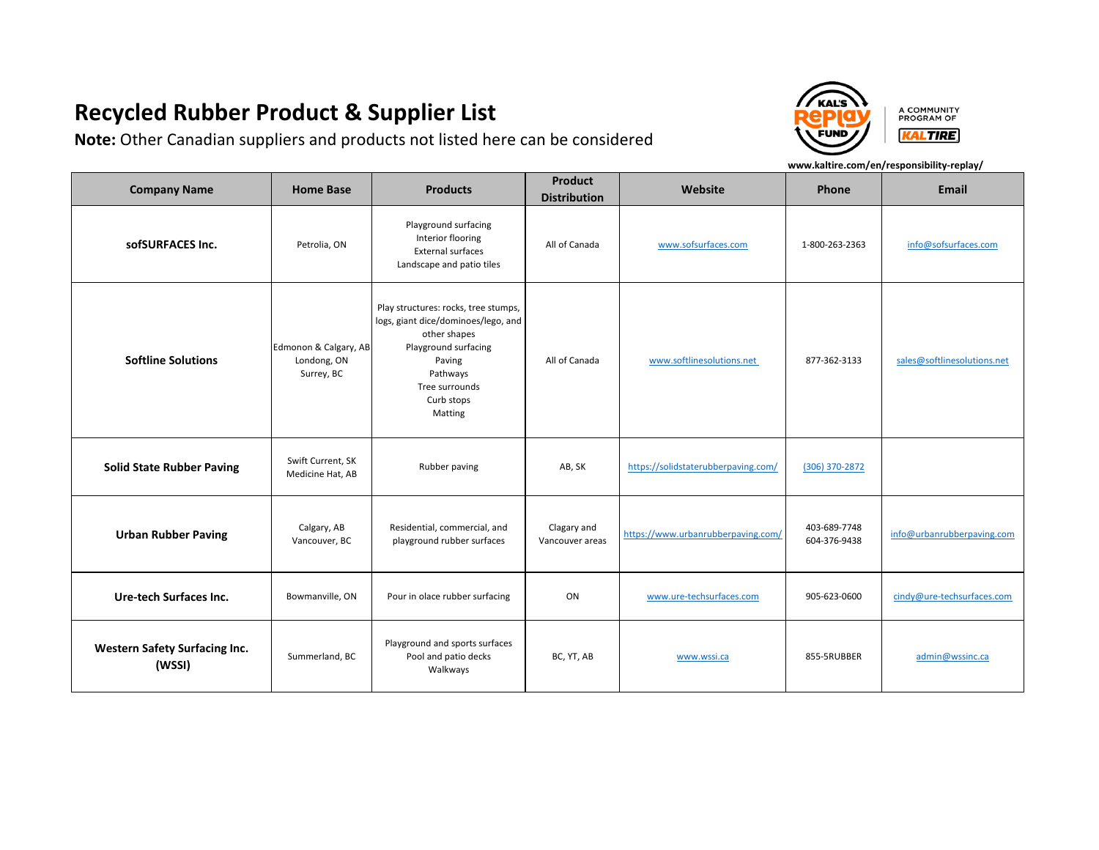**Note:** Other Canadian suppliers and products not listed here can be considered

**FUND** 

A COMMUNITY PROGRAM OF **KALTIRE** 

| <b>Company Name</b>                            | <b>Home Base</b>                                   | <b>Products</b>                                                                                                                                                                      | <b>Product</b><br><b>Distribution</b> | Website                             | Phone                        | <b>Email</b>                |
|------------------------------------------------|----------------------------------------------------|--------------------------------------------------------------------------------------------------------------------------------------------------------------------------------------|---------------------------------------|-------------------------------------|------------------------------|-----------------------------|
| sofSURFACES Inc.                               | Petrolia, ON                                       | Playground surfacing<br>Interior flooring<br><b>External surfaces</b><br>Landscape and patio tiles                                                                                   | All of Canada                         | www.sofsurfaces.com                 | 1-800-263-2363               | info@sofsurfaces.com        |
| <b>Softline Solutions</b>                      | Edmonon & Calgary, AB<br>Londong, ON<br>Surrey, BC | Play structures: rocks, tree stumps,<br>logs, giant dice/dominoes/lego, and<br>other shapes<br>Playground surfacing<br>Paving<br>Pathways<br>Tree surrounds<br>Curb stops<br>Matting | All of Canada                         | www.softlinesolutions.net           | 877-362-3133                 | sales@softlinesolutions.net |
| <b>Solid State Rubber Paving</b>               | Swift Current, SK<br>Medicine Hat, AB              | Rubber paving                                                                                                                                                                        | AB, SK                                | https://solidstaterubberpaving.com/ | (306) 370-2872               |                             |
| <b>Urban Rubber Paving</b>                     | Calgary, AB<br>Vancouver, BC                       | Residential, commercial, and<br>playground rubber surfaces                                                                                                                           | Clagary and<br>Vancouver areas        | https://www.urbanrubberpaving.com/  | 403-689-7748<br>604-376-9438 | info@urbanrubberpaving.com  |
| Ure-tech Surfaces Inc.                         | Bowmanville, ON                                    | Pour in olace rubber surfacing                                                                                                                                                       | ON                                    | www.ure-techsurfaces.com            | 905-623-0600                 | cindy@ure-techsurfaces.com  |
| <b>Western Safety Surfacing Inc.</b><br>(WSSI) | Summerland, BC                                     | Playground and sports surfaces<br>Pool and patio decks<br>Walkways                                                                                                                   | BC, YT, AB                            | www.wssi.ca                         | 855-5RUBBER                  | admin@wssinc.ca             |